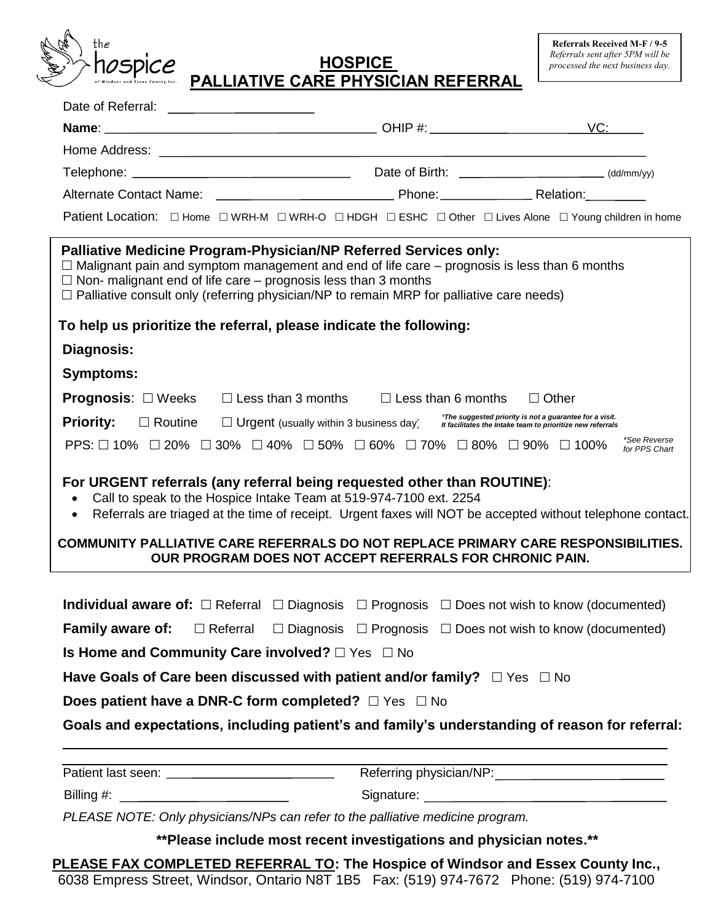

## *Referrals sent after 5PM will be* **HOSPICE** *processed the next business day.* **PALLIATIVE CARE PHYSICIAN REFERRAL**

|                                                                                                                                                                                                                                                                                                                                                            | LALLIAIIVL VAILLITTIVIVIAIVILLILINAL                                                                                                                                                                                                        |                                                         |  |
|------------------------------------------------------------------------------------------------------------------------------------------------------------------------------------------------------------------------------------------------------------------------------------------------------------------------------------------------------------|---------------------------------------------------------------------------------------------------------------------------------------------------------------------------------------------------------------------------------------------|---------------------------------------------------------|--|
| Date of Referral: ______________________                                                                                                                                                                                                                                                                                                                   |                                                                                                                                                                                                                                             |                                                         |  |
|                                                                                                                                                                                                                                                                                                                                                            |                                                                                                                                                                                                                                             |                                                         |  |
|                                                                                                                                                                                                                                                                                                                                                            |                                                                                                                                                                                                                                             |                                                         |  |
|                                                                                                                                                                                                                                                                                                                                                            |                                                                                                                                                                                                                                             |                                                         |  |
|                                                                                                                                                                                                                                                                                                                                                            |                                                                                                                                                                                                                                             |                                                         |  |
| Patient Location: □ Home □ WRH-M □ WRH-O □ HDGH □ ESHC □ Other □ Lives Alone □ Young children in home                                                                                                                                                                                                                                                      |                                                                                                                                                                                                                                             |                                                         |  |
| <b>Palliative Medicine Program-Physician/NP Referred Services only:</b><br>$\Box$ Malignant pain and symptom management and end of life care – prognosis is less than 6 months<br>$\Box$ Non- malignant end of life care – prognosis less than 3 months<br>$\Box$ Palliative consult only (referring physician/NP to remain MRP for palliative care needs) |                                                                                                                                                                                                                                             |                                                         |  |
| To help us prioritize the referral, please indicate the following:                                                                                                                                                                                                                                                                                         |                                                                                                                                                                                                                                             |                                                         |  |
| <b>Diagnosis:</b>                                                                                                                                                                                                                                                                                                                                          |                                                                                                                                                                                                                                             |                                                         |  |
| <b>Symptoms:</b>                                                                                                                                                                                                                                                                                                                                           |                                                                                                                                                                                                                                             |                                                         |  |
| <b>Prognosis:</b> $\Box$ Weeks $\Box$ Less than 3 months $\Box$ Less than 6 months $\Box$ Other                                                                                                                                                                                                                                                            |                                                                                                                                                                                                                                             |                                                         |  |
| <b>Priority:</b><br>$\Box$ Routine                                                                                                                                                                                                                                                                                                                         | $\square$ Urgent (usually within 3 business day) $\square$ the suggested priority is not a guarantee for a visit.                                                                                                                           | *The suggested priority is not a guarantee for a visit. |  |
| PPS: $\Box$ 10% $\Box$ 20% $\Box$ 30% $\Box$ 40% $\Box$ 50% $\Box$ 60% $\Box$ 70% $\Box$ 80% $\Box$ 90% $\Box$ 100%                                                                                                                                                                                                                                        |                                                                                                                                                                                                                                             | *See Reverse<br>for PPS Chart                           |  |
| For URGENT referrals (any referral being requested other than ROUTINE):<br>$\bullet$<br>COMMUNITY PALLIATIVE CARE REFERRALS DO NOT REPLACE PRIMARY CARE RESPONSIBILITIES.                                                                                                                                                                                  | Call to speak to the Hospice Intake Team at 519-974-7100 ext. 2254<br>Referrals are triaged at the time of receipt. Urgent faxes will NOT be accepted without telephone contact.<br>OUR PROGRAM DOES NOT ACCEPT REFERRALS FOR CHRONIC PAIN. |                                                         |  |
| <b>Individual aware of:</b> $\Box$ Referral $\Box$ Diagnosis $\Box$ Prognosis $\Box$ Does not wish to know (documented)                                                                                                                                                                                                                                    |                                                                                                                                                                                                                                             |                                                         |  |
| <b>Family aware of:</b>                                                                                                                                                                                                                                                                                                                                    | $\Box$ Referral $\Box$ Diagnosis $\Box$ Prognosis $\Box$ Does not wish to know (documented)                                                                                                                                                 |                                                         |  |
| Is Home and Community Care involved? $\Box$ Yes $\Box$ No                                                                                                                                                                                                                                                                                                  |                                                                                                                                                                                                                                             |                                                         |  |
|                                                                                                                                                                                                                                                                                                                                                            |                                                                                                                                                                                                                                             |                                                         |  |
| Have Goals of Care been discussed with patient and/or family? $\Box$ Yes $\Box$ No                                                                                                                                                                                                                                                                         |                                                                                                                                                                                                                                             |                                                         |  |
| <b>Does patient have a DNR-C form completed?</b> $\Box$ Yes $\Box$ No                                                                                                                                                                                                                                                                                      |                                                                                                                                                                                                                                             |                                                         |  |
| Goals and expectations, including patient's and family's understanding of reason for referral:                                                                                                                                                                                                                                                             |                                                                                                                                                                                                                                             |                                                         |  |
|                                                                                                                                                                                                                                                                                                                                                            |                                                                                                                                                                                                                                             |                                                         |  |
|                                                                                                                                                                                                                                                                                                                                                            | Referring physician/NP:                                                                                                                                                                                                                     |                                                         |  |

Billing #: Signature:

*PLEASE NOTE: Only physicians/NPs can refer to the palliative medicine program.*

**\*\*Please include most recent investigations and physician notes.\*\***

**PLEASE FAX COMPLETED REFERRAL TO: The Hospice of Windsor and Essex County Inc.,**  6038 Empress Street, Windsor, Ontario N8T 1B5 Fax: (519) 974-7672 Phone: (519) 974-7100